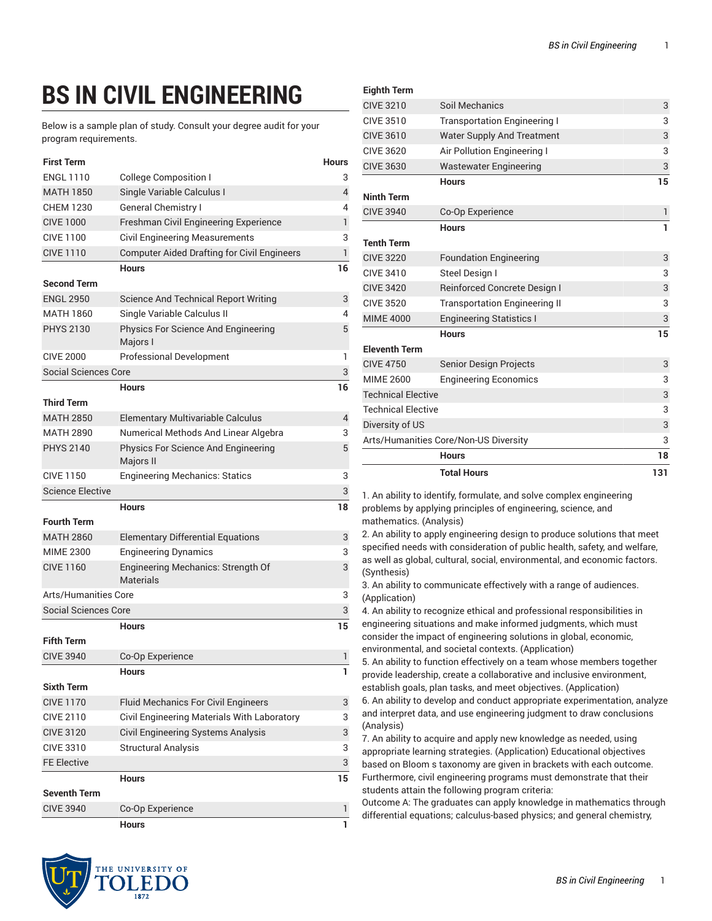## **BS IN CIVIL ENGINEERING**

Below is a sample plan of study. Consult your degree audit for your program requirements.

| <b>First Term</b>           |                                                    | Hours          |
|-----------------------------|----------------------------------------------------|----------------|
| <b>ENGL 1110</b>            | <b>College Composition I</b>                       | 3              |
| <b>MATH 1850</b>            | Single Variable Calculus I                         | $\overline{4}$ |
| <b>CHEM 1230</b>            | <b>General Chemistry I</b>                         | 4              |
| <b>CIVE 1000</b>            | Freshman Civil Engineering Experience              | $\mathbf{1}$   |
| <b>CIVE 1100</b>            | <b>Civil Engineering Measurements</b>              | 3              |
| <b>CIVE 1110</b>            | <b>Computer Aided Drafting for Civil Engineers</b> | 1              |
|                             | <b>Hours</b>                                       | 16             |
| <b>Second Term</b>          |                                                    |                |
| <b>ENGL 2950</b>            | <b>Science And Technical Report Writing</b>        | 3              |
| MATH 1860                   | Single Variable Calculus II                        | 4              |
| <b>PHYS 2130</b>            | Physics For Science And Engineering<br>Majors I    | 5              |
| <b>CIVE 2000</b>            | <b>Professional Development</b>                    | 1              |
| <b>Social Sciences Core</b> |                                                    | 3              |
|                             | Hours                                              | 16             |
| <b>Third Term</b>           |                                                    |                |
| <b>MATH 2850</b>            | Elementary Multivariable Calculus                  | 4              |
| <b>MATH 2890</b>            | Numerical Methods And Linear Algebra               | 3              |
| <b>PHYS 2140</b>            | Physics For Science And Engineering<br>Majors II   | 5              |
| <b>CIVE 1150</b>            | <b>Engineering Mechanics: Statics</b>              | 3              |
| <b>Science Elective</b>     |                                                    | 3              |
|                             | <b>Hours</b>                                       | 18             |
| <b>Fourth Term</b>          |                                                    |                |
| <b>MATH 2860</b>            | <b>Elementary Differential Equations</b>           | 3              |
| <b>MIME 2300</b>            | <b>Engineering Dynamics</b>                        | 3              |
| <b>CIVE 1160</b>            | Engineering Mechanics: Strength Of<br>Materials    | 3              |
| Arts/Humanities Core        |                                                    | 3              |
| <b>Social Sciences Core</b> |                                                    | 3              |
|                             | <b>Hours</b>                                       | 15             |
| <b>Fifth Term</b>           |                                                    |                |
| <b>CIVE 3940</b>            | Co-Op Experience                                   | 1              |
|                             | Hours                                              | 1              |
| <b>Sixth Term</b>           |                                                    |                |
| <b>CIVE 1170</b>            | <b>Fluid Mechanics For Civil Engineers</b>         | 3              |
| <b>CIVE 2110</b>            | Civil Engineering Materials With Laboratory        | 3              |
| <b>CIVE 3120</b>            | Civil Engineering Systems Analysis                 | 3              |
| CIVE 3310                   | <b>Structural Analysis</b>                         | 3              |
| <b>FE Elective</b>          |                                                    | 3              |
|                             | <b>Hours</b>                                       | 15             |
| Seventh Term                |                                                    |                |
| <b>CIVE 3940</b>            | Co-Op Experience                                   | 1              |
|                             | <b>Hours</b>                                       | 1              |

| <b>Eighth Term</b>                    |                                      |              |
|---------------------------------------|--------------------------------------|--------------|
| <b>CIVE 3210</b>                      | Soil Mechanics                       | 3            |
| <b>CIVE 3510</b>                      | <b>Transportation Engineering I</b>  | 3            |
| <b>CIVE 3610</b>                      | <b>Water Supply And Treatment</b>    | 3            |
| <b>CIVE 3620</b>                      | Air Pollution Engineering I          | 3            |
| <b>CIVE 3630</b>                      | <b>Wastewater Engineering</b>        | 3            |
|                                       | <b>Hours</b>                         | 15           |
| <b>Ninth Term</b>                     |                                      |              |
| <b>CIVE 3940</b>                      | Co-Op Experience                     | $\mathbf{1}$ |
|                                       | <b>Hours</b>                         | 1            |
| <b>Tenth Term</b>                     |                                      |              |
| <b>CIVE 3220</b>                      | <b>Foundation Engineering</b>        | 3            |
| <b>CIVE 3410</b>                      | <b>Steel Design I</b>                | 3            |
| <b>CIVE 3420</b>                      | <b>Reinforced Concrete Design I</b>  | 3            |
| <b>CIVE 3520</b>                      | <b>Transportation Engineering II</b> | 3            |
| <b>MIME 4000</b>                      | <b>Engineering Statistics I</b>      | 3            |
|                                       | <b>Hours</b>                         | 15           |
| <b>Eleventh Term</b>                  |                                      |              |
| <b>CIVE 4750</b>                      | <b>Senior Design Projects</b>        | 3            |
| <b>MIME 2600</b>                      | <b>Engineering Economics</b>         | 3            |
| <b>Technical Elective</b>             |                                      | 3            |
| <b>Technical Elective</b>             |                                      | 3            |
| Diversity of US                       |                                      | 3            |
| Arts/Humanities Core/Non-US Diversity |                                      | 3            |
|                                       | <b>Hours</b>                         | 18           |
|                                       | <b>Total Hours</b>                   | 131          |

1. An ability to identify, formulate, and solve complex engineering problems by applying principles of engineering, science, and mathematics. (Analysis)

2. An ability to apply engineering design to produce solutions that meet specified needs with consideration of public health, safety, and welfare, as well as global, cultural, social, environmental, and economic factors. (Synthesis)

3. An ability to communicate effectively with a range of audiences. (Application)

4. An ability to recognize ethical and professional responsibilities in engineering situations and make informed judgments, which must consider the impact of engineering solutions in global, economic, environmental, and societal contexts. (Application)

5. An ability to function effectively on a team whose members together provide leadership, create a collaborative and inclusive environment, establish goals, plan tasks, and meet objectives. (Application)

6. An ability to develop and conduct appropriate experimentation, analyze and interpret data, and use engineering judgment to draw conclusions (Analysis)

7. An ability to acquire and apply new knowledge as needed, using appropriate learning strategies. (Application) Educational objectives based on Bloom s taxonomy are given in brackets with each outcome. Furthermore, civil engineering programs must demonstrate that their students attain the following program criteria:

Outcome A: The graduates can apply knowledge in mathematics through differential equations; calculus-based physics; and general chemistry,